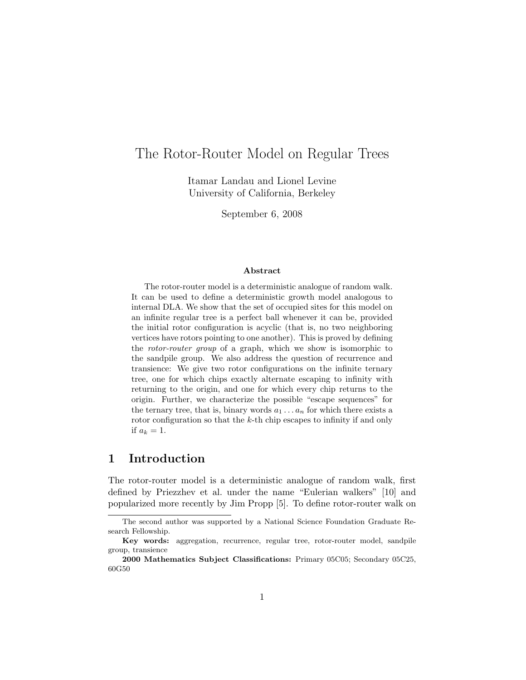# The Rotor-Router Model on Regular Trees

Itamar Landau and Lionel Levine University of California, Berkeley

September 6, 2008

#### Abstract

The rotor-router model is a deterministic analogue of random walk. It can be used to define a deterministic growth model analogous to internal DLA. We show that the set of occupied sites for this model on an infinite regular tree is a perfect ball whenever it can be, provided the initial rotor configuration is acyclic (that is, no two neighboring vertices have rotors pointing to one another). This is proved by defining the rotor-router group of a graph, which we show is isomorphic to the sandpile group. We also address the question of recurrence and transience: We give two rotor configurations on the infinite ternary tree, one for which chips exactly alternate escaping to infinity with returning to the origin, and one for which every chip returns to the origin. Further, we characterize the possible "escape sequences" for the ternary tree, that is, binary words  $a_1 \ldots a_n$  for which there exists a rotor configuration so that the  $k$ -th chip escapes to infinity if and only if  $a_k = 1$ .

## 1 Introduction

The rotor-router model is a deterministic analogue of random walk, first defined by Priezzhev et al. under the name "Eulerian walkers" [10] and popularized more recently by Jim Propp [5]. To define rotor-router walk on

The second author was supported by a National Science Foundation Graduate Research Fellowship.

Key words: aggregation, recurrence, regular tree, rotor-router model, sandpile group, transience

<sup>2000</sup> Mathematics Subject Classifications: Primary 05C05; Secondary 05C25, 60G50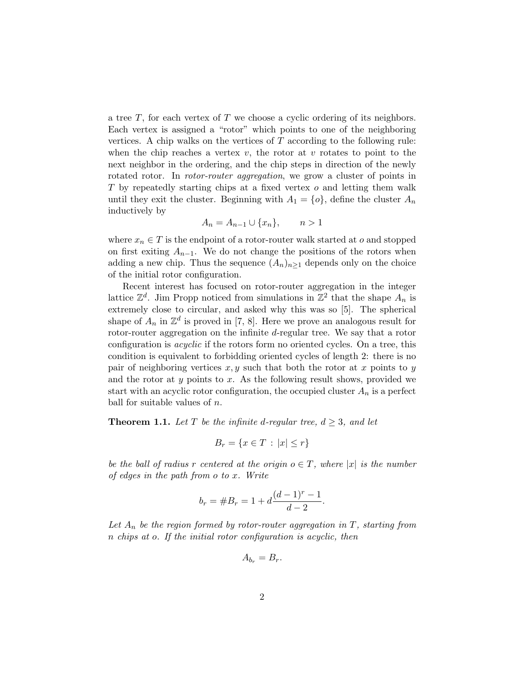a tree  $T$ , for each vertex of  $T$  we choose a cyclic ordering of its neighbors. Each vertex is assigned a "rotor" which points to one of the neighboring vertices. A chip walks on the vertices of  $T$  according to the following rule: when the chip reaches a vertex  $v$ , the rotor at  $v$  rotates to point to the next neighbor in the ordering, and the chip steps in direction of the newly rotated rotor. In *rotor-router aggregation*, we grow a cluster of points in T by repeatedly starting chips at a fixed vertex o and letting them walk until they exit the cluster. Beginning with  $A_1 = \{o\}$ , define the cluster  $A_n$ inductively by

$$
A_n = A_{n-1} \cup \{x_n\}, \qquad n > 1
$$

where  $x_n \in T$  is the endpoint of a rotor-router walk started at o and stopped on first exiting  $A_{n-1}$ . We do not change the positions of the rotors when adding a new chip. Thus the sequence  $(A_n)_{n>1}$  depends only on the choice of the initial rotor configuration.

Recent interest has focused on rotor-router aggregation in the integer lattice  $\mathbb{Z}^d$ . Jim Propp noticed from simulations in  $\mathbb{Z}^2$  that the shape  $A_n$  is extremely close to circular, and asked why this was so [5]. The spherical shape of  $A_n$  in  $\mathbb{Z}^d$  is proved in [7, 8]. Here we prove an analogous result for rotor-router aggregation on the infinite d-regular tree. We say that a rotor configuration is acyclic if the rotors form no oriented cycles. On a tree, this condition is equivalent to forbidding oriented cycles of length 2: there is no pair of neighboring vertices  $x, y$  such that both the rotor at x points to y and the rotor at  $y$  points to  $x$ . As the following result shows, provided we start with an acyclic rotor configuration, the occupied cluster  $A_n$  is a perfect ball for suitable values of  $n$ .

**Theorem 1.1.** Let T be the infinite d-regular tree,  $d \geq 3$ , and let

$$
B_r = \{ x \in T : |x| \le r \}
$$

be the ball of radius r centered at the origin  $o \in T$ , where |x| is the number of edges in the path from o to x. Write

$$
b_r = \#B_r = 1 + d\frac{(d-1)^r - 1}{d-2}.
$$

Let  $A_n$  be the region formed by rotor-router aggregation in T, starting from n chips at o. If the initial rotor configuration is acyclic, then

$$
A_{b_r}=B_r.
$$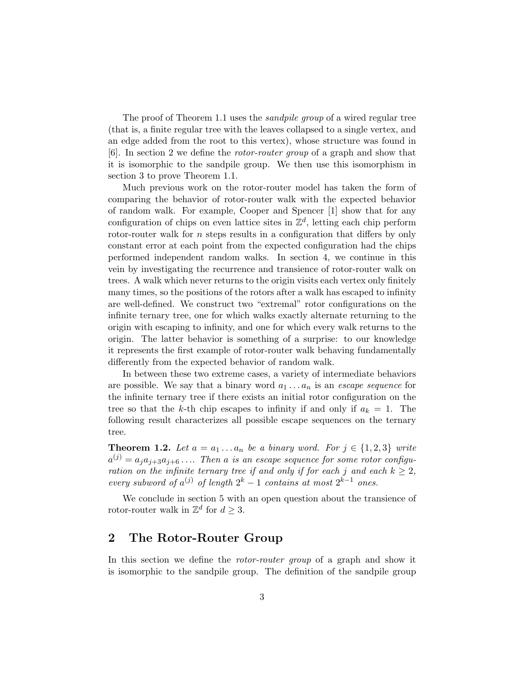The proof of Theorem 1.1 uses the sandpile group of a wired regular tree (that is, a finite regular tree with the leaves collapsed to a single vertex, and an edge added from the root to this vertex), whose structure was found in [6]. In section 2 we define the rotor-router group of a graph and show that it is isomorphic to the sandpile group. We then use this isomorphism in section 3 to prove Theorem 1.1.

Much previous work on the rotor-router model has taken the form of comparing the behavior of rotor-router walk with the expected behavior of random walk. For example, Cooper and Spencer [1] show that for any configuration of chips on even lattice sites in  $\mathbb{Z}^d$ , letting each chip perform rotor-router walk for *n* steps results in a configuration that differs by only constant error at each point from the expected configuration had the chips performed independent random walks. In section 4, we continue in this vein by investigating the recurrence and transience of rotor-router walk on trees. A walk which never returns to the origin visits each vertex only finitely many times, so the positions of the rotors after a walk has escaped to infinity are well-defined. We construct two "extremal" rotor configurations on the infinite ternary tree, one for which walks exactly alternate returning to the origin with escaping to infinity, and one for which every walk returns to the origin. The latter behavior is something of a surprise: to our knowledge it represents the first example of rotor-router walk behaving fundamentally differently from the expected behavior of random walk.

In between these two extreme cases, a variety of intermediate behaviors are possible. We say that a binary word  $a_1 \ldots a_n$  is an *escape sequence* for the infinite ternary tree if there exists an initial rotor configuration on the tree so that the k-th chip escapes to infinity if and only if  $a_k = 1$ . The following result characterizes all possible escape sequences on the ternary tree.

**Theorem 1.2.** Let  $a = a_1 \ldots a_n$  be a binary word. For  $j \in \{1,2,3\}$  write  $a^{(j)} = a_j a_{j+3} a_{j+6} \ldots$  Then a is an escape sequence for some rotor configuration on the infinite ternary tree if and only if for each j and each  $k \geq 2$ , every subword of  $a^{(j)}$  of length  $2^k - 1$  contains at most  $2^{k-1}$  ones.

We conclude in section 5 with an open question about the transience of rotor-router walk in  $\mathbb{Z}^d$  for  $d \geq 3$ .

## 2 The Rotor-Router Group

In this section we define the rotor-router group of a graph and show it is isomorphic to the sandpile group. The definition of the sandpile group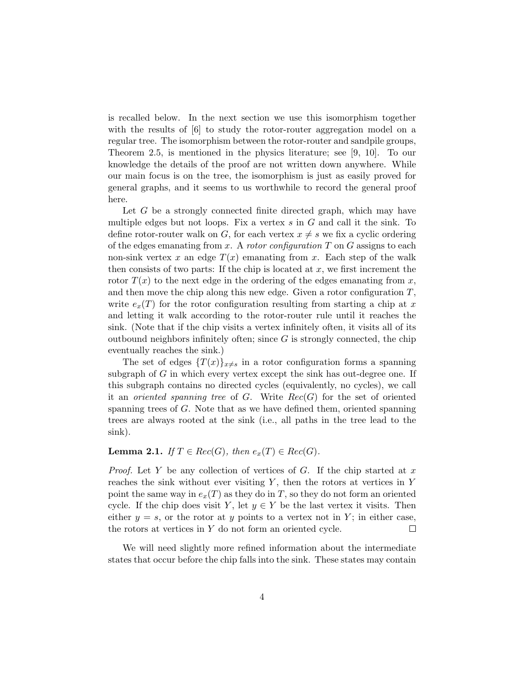is recalled below. In the next section we use this isomorphism together with the results of  $\lceil 6 \rceil$  to study the rotor-router aggregation model on a regular tree. The isomorphism between the rotor-router and sandpile groups, Theorem 2.5, is mentioned in the physics literature; see [9, 10]. To our knowledge the details of the proof are not written down anywhere. While our main focus is on the tree, the isomorphism is just as easily proved for general graphs, and it seems to us worthwhile to record the general proof here.

Let G be a strongly connected finite directed graph, which may have multiple edges but not loops. Fix a vertex  $s$  in  $G$  and call it the sink. To define rotor-router walk on G, for each vertex  $x \neq s$  we fix a cyclic ordering of the edges emanating from x. A rotor configuration  $T$  on  $G$  assigns to each non-sink vertex x an edge  $T(x)$  emanating from x. Each step of the walk then consists of two parts: If the chip is located at  $x$ , we first increment the rotor  $T(x)$  to the next edge in the ordering of the edges emanating from x, and then move the chip along this new edge. Given a rotor configuration  $T$ , write  $e_x(T)$  for the rotor configuration resulting from starting a chip at x and letting it walk according to the rotor-router rule until it reaches the sink. (Note that if the chip visits a vertex infinitely often, it visits all of its outbound neighbors infinitely often; since  $G$  is strongly connected, the chip eventually reaches the sink.)

The set of edges  $\{T(x)\}_{x\neq s}$  in a rotor configuration forms a spanning subgraph of  $G$  in which every vertex except the sink has out-degree one. If this subgraph contains no directed cycles (equivalently, no cycles), we call it an *oriented spanning tree* of  $G$ . Write  $Rec(G)$  for the set of oriented spanning trees of G. Note that as we have defined them, oriented spanning trees are always rooted at the sink (i.e., all paths in the tree lead to the sink).

#### **Lemma 2.1.** If  $T \in Rec(G)$ , then  $e_x(T) \in Rec(G)$ .

*Proof.* Let Y be any collection of vertices of G. If the chip started at x reaches the sink without ever visiting  $Y$ , then the rotors at vertices in Y point the same way in  $e_x(T)$  as they do in T, so they do not form an oriented cycle. If the chip does visit Y, let  $y \in Y$  be the last vertex it visits. Then either  $y = s$ , or the rotor at y points to a vertex not in Y; in either case,  $\Box$ the rotors at vertices in Y do not form an oriented cycle.

We will need slightly more refined information about the intermediate states that occur before the chip falls into the sink. These states may contain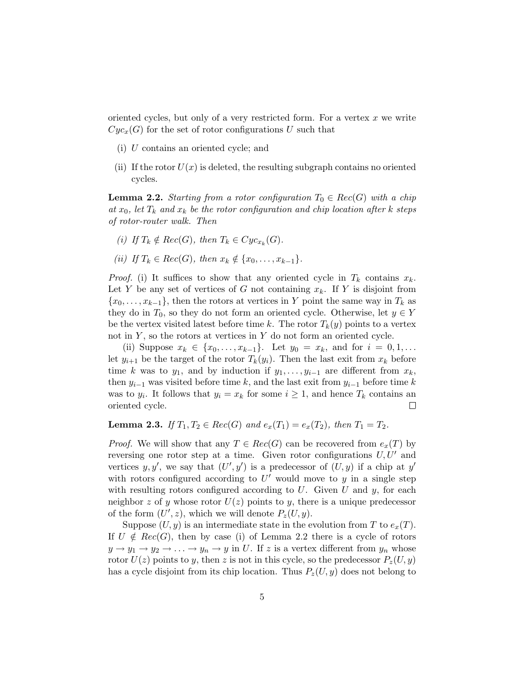oriented cycles, but only of a very restricted form. For a vertex  $x$  we write  $Cyc_x(G)$  for the set of rotor configurations U such that

- (i) U contains an oriented cycle; and
- (ii) If the rotor  $U(x)$  is deleted, the resulting subgraph contains no oriented cycles.

**Lemma 2.2.** Starting from a rotor configuration  $T_0 \in Rec(G)$  with a chip at  $x_0$ , let  $T_k$  and  $x_k$  be the rotor configuration and chip location after k steps of rotor-router walk. Then

- (i) If  $T_k \notin Rec(G)$ , then  $T_k \in Cyc_{x_k}(G)$ .
- (ii) If  $T_k \in Rec(G)$ , then  $x_k \notin \{x_0, \ldots, x_{k-1}\}.$

*Proof.* (i) It suffices to show that any oriented cycle in  $T_k$  contains  $x_k$ . Let Y be any set of vertices of G not containing  $x_k$ . If Y is disjoint from  ${x_0, \ldots, x_{k-1}}$ , then the rotors at vertices in Y point the same way in  $T_k$  as they do in  $T_0$ , so they do not form an oriented cycle. Otherwise, let  $y \in Y$ be the vertex visited latest before time k. The rotor  $T_k(y)$  points to a vertex not in  $Y$ , so the rotors at vertices in  $Y$  do not form an oriented cycle.

(ii) Suppose  $x_k \in \{x_0, \ldots, x_{k-1}\}.$  Let  $y_0 = x_k$ , and for  $i = 0, 1, \ldots$ let  $y_{i+1}$  be the target of the rotor  $T_k(y_i)$ . Then the last exit from  $x_k$  before time k was to  $y_1$ , and by induction if  $y_1, \ldots, y_{i-1}$  are different from  $x_k$ , then  $y_{i-1}$  was visited before time k, and the last exit from  $y_{i-1}$  before time k was to  $y_i$ . It follows that  $y_i = x_k$  for some  $i \geq 1$ , and hence  $T_k$  contains an oriented cycle.  $\Box$ 

**Lemma 2.3.** If  $T_1, T_2 \in Rec(G)$  and  $e_x(T_1) = e_x(T_2)$ , then  $T_1 = T_2$ .

*Proof.* We will show that any  $T \in Rec(G)$  can be recovered from  $e_x(T)$  by reversing one rotor step at a time. Given rotor configurations  $U, U'$  and vertices y, y', we say that  $(U', y')$  is a predecessor of  $(U, y)$  if a chip at y' with rotors configured according to  $U'$  would move to  $y$  in a single step with resulting rotors configured according to  $U$ . Given  $U$  and  $y$ , for each neighbor z of y whose rotor  $U(z)$  points to y, there is a unique predecessor of the form  $(U', z)$ , which we will denote  $P_z(U, y)$ .

Suppose  $(U, y)$  is an intermediate state in the evolution from T to  $e_x(T)$ . If  $U \notin Rec(G)$ , then by case (i) of Lemma 2.2 there is a cycle of rotors  $y \to y_1 \to y_2 \to \ldots \to y_n \to y$  in U. If z is a vertex different from  $y_n$  whose rotor  $U(z)$  points to y, then z is not in this cycle, so the predecessor  $P_z(U, y)$ has a cycle disjoint from its chip location. Thus  $P_z(U, y)$  does not belong to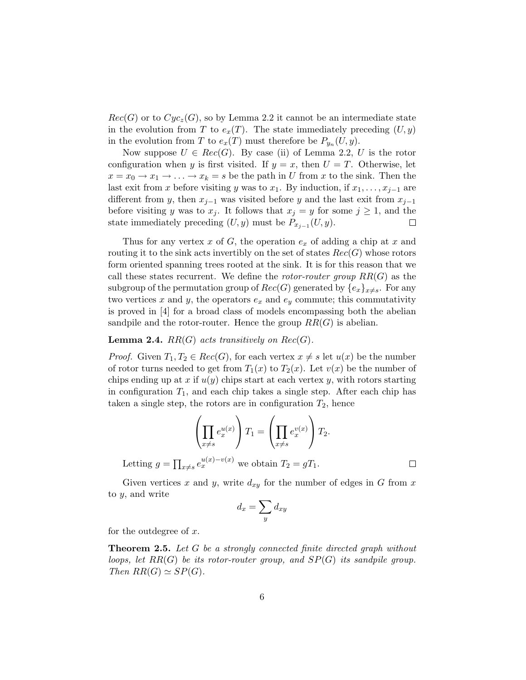$Rec(G)$  or to  $Cyc_z(G)$ , so by Lemma 2.2 it cannot be an intermediate state in the evolution from T to  $e_x(T)$ . The state immediately preceding  $(U, y)$ in the evolution from T to  $e_x(T)$  must therefore be  $P_{y_n}(U, y)$ .

Now suppose  $U \in Rec(G)$ . By case (ii) of Lemma 2.2, U is the rotor configuration when y is first visited. If  $y = x$ , then  $U = T$ . Otherwise, let  $x = x_0 \rightarrow x_1 \rightarrow \ldots \rightarrow x_k = s$  be the path in U from x to the sink. Then the last exit from x before visiting y was to  $x_1$ . By induction, if  $x_1, \ldots, x_{j-1}$  are different from y, then  $x_{i-1}$  was visited before y and the last exit from  $x_{i-1}$ before visiting y was to  $x_j$ . It follows that  $x_j = y$  for some  $j \ge 1$ , and the state immediately preceding  $(U, y)$  must be  $P_{x_{j-1}}(U, y)$ .  $\Box$ 

Thus for any vertex x of G, the operation  $e_x$  of adding a chip at x and routing it to the sink acts invertibly on the set of states  $Rec(G)$  whose rotors form oriented spanning trees rooted at the sink. It is for this reason that we call these states recurrent. We define the *rotor-router group*  $RR(G)$  as the subgroup of the permutation group of  $Rec(G)$  generated by  $\{e_x\}_{x\neq s}$ . For any two vertices x and y, the operators  $e_x$  and  $e_y$  commute; this commutativity is proved in [4] for a broad class of models encompassing both the abelian sandpile and the rotor-router. Hence the group  $RR(G)$  is abelian.

### **Lemma 2.4.**  $RR(G)$  acts transitively on  $Rec(G)$ .

*Proof.* Given  $T_1, T_2 \in Rec(G)$ , for each vertex  $x \neq s$  let  $u(x)$  be the number of rotor turns needed to get from  $T_1(x)$  to  $T_2(x)$ . Let  $v(x)$  be the number of chips ending up at x if  $u(y)$  chips start at each vertex y, with rotors starting in configuration  $T_1$ , and each chip takes a single step. After each chip has taken a single step, the rotors are in configuration  $T_2$ , hence

$$
\left(\prod_{x\neq s} e_x^{u(x)}\right) T_1 = \left(\prod_{x\neq s} e_x^{v(x)}\right) T_2.
$$
  
Letting  $g = \prod_{x\neq s} e_x^{u(x)-v(x)}$  we obtain  $T_2 = gT_1$ .

Given vertices x and y, write  $d_{xy}$  for the number of edges in G from x to y, and write

$$
d_x = \sum_y d_{xy}
$$

for the outdegree of  $x$ .

**Theorem 2.5.** Let G be a strongly connected finite directed graph without loops, let  $RR(G)$  be its rotor-router group, and  $SP(G)$  its sandpile group. Then  $RR(G) \simeq SP(G)$ .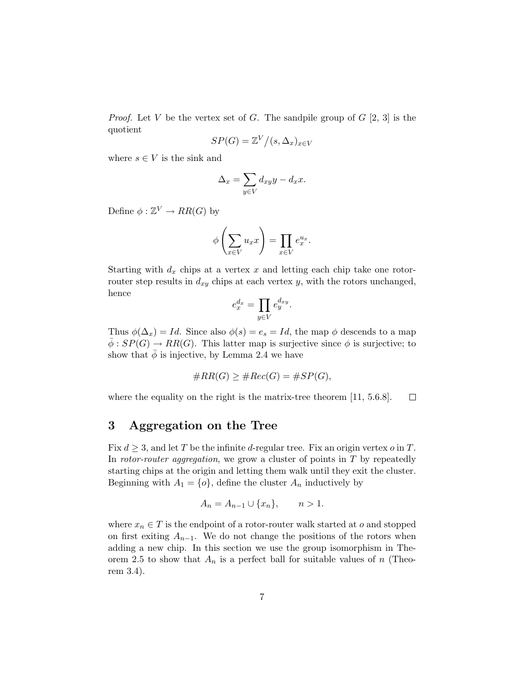*Proof.* Let V be the vertex set of G. The sandpile group of  $G$  [2, 3] is the quotient

$$
SP(G) = \mathbb{Z}^V / (s, \Delta_x)_{x \in V}
$$

where  $s \in V$  is the sink and

$$
\Delta_x = \sum_{y \in V} d_{xy} y - d_x x.
$$

Define  $\phi : \mathbb{Z}^V \to RR(G)$  by

$$
\phi\left(\sum_{x\in V} u_x x\right) = \prod_{x\in V} e_x^{u_x}.
$$

Starting with  $d_x$  chips at a vertex x and letting each chip take one rotorrouter step results in  $d_{xy}$  chips at each vertex y, with the rotors unchanged, hence

$$
e_x^{d_x} = \prod_{y \in V} e_y^{d_{xy}}.
$$

Thus  $\phi(\Delta_x) = Id$ . Since also  $\phi(s) = e_s = Id$ , the map  $\phi$  descends to a map  $\overline{\phi}: SP(G) \to RR(G)$ . This latter map is surjective since  $\phi$  is surjective; to show that  $\bar{\phi}$  is injective, by Lemma 2.4 we have

$$
\#RR(G) \geq \#Rec(G) = \#SP(G),
$$

where the equality on the right is the matrix-tree theorem [11, 5.6.8].  $\Box$ 

# 3 Aggregation on the Tree

Fix  $d \geq 3$ , and let T be the infinite d-regular tree. Fix an origin vertex o in T. In rotor-router aggregation, we grow a cluster of points in  $T$  by repeatedly starting chips at the origin and letting them walk until they exit the cluster. Beginning with  $A_1 = \{o\}$ , define the cluster  $A_n$  inductively by

$$
A_n = A_{n-1} \cup \{x_n\}, \qquad n > 1.
$$

where  $x_n \in T$  is the endpoint of a rotor-router walk started at o and stopped on first exiting  $A_{n-1}$ . We do not change the positions of the rotors when adding a new chip. In this section we use the group isomorphism in Theorem 2.5 to show that  $A_n$  is a perfect ball for suitable values of n (Theorem 3.4).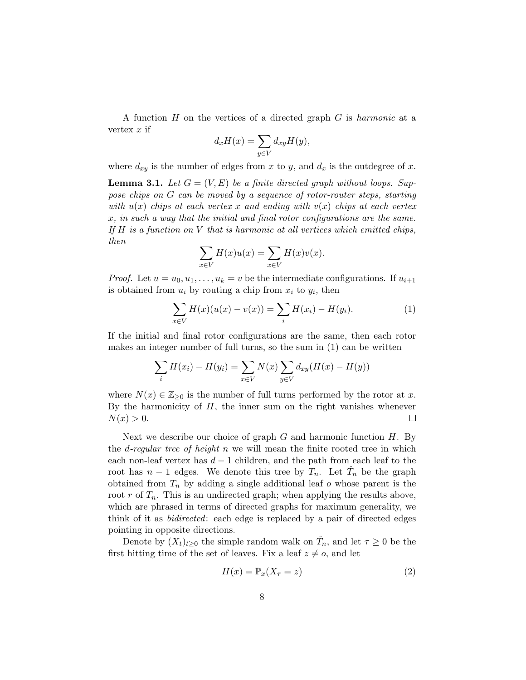A function  $H$  on the vertices of a directed graph  $G$  is *harmonic* at a vertex  $x$  if

$$
d_x H(x) = \sum_{y \in V} d_{xy} H(y),
$$

where  $d_{xy}$  is the number of edges from x to y, and  $d_x$  is the outdegree of x.

**Lemma 3.1.** Let  $G = (V, E)$  be a finite directed graph without loops. Suppose chips on G can be moved by a sequence of rotor-router steps, starting with  $u(x)$  chips at each vertex x and ending with  $v(x)$  chips at each vertex x, in such a way that the initial and final rotor configurations are the same. If  $H$  is a function on  $V$  that is harmonic at all vertices which emitted chips, then

$$
\sum_{x \in V} H(x)u(x) = \sum_{x \in V} H(x)v(x).
$$

*Proof.* Let  $u = u_0, u_1, \ldots, u_k = v$  be the intermediate configurations. If  $u_{i+1}$ is obtained from  $u_i$  by routing a chip from  $x_i$  to  $y_i$ , then

$$
\sum_{x \in V} H(x)(u(x) - v(x)) = \sum_{i} H(x_i) - H(y_i).
$$
 (1)

If the initial and final rotor configurations are the same, then each rotor makes an integer number of full turns, so the sum in (1) can be written

$$
\sum_{i} H(x_i) - H(y_i) = \sum_{x \in V} N(x) \sum_{y \in V} d_{xy} (H(x) - H(y))
$$

where  $N(x) \in \mathbb{Z}_{\geq 0}$  is the number of full turns performed by the rotor at x. By the harmonicity of  $H$ , the inner sum on the right vanishes whenever  $N(x) > 0.$  $\Box$ 

Next we describe our choice of graph  $G$  and harmonic function  $H$ . By the *d*-regular tree of height n we will mean the finite rooted tree in which each non-leaf vertex has  $d-1$  children, and the path from each leaf to the root has  $n-1$  edges. We denote this tree by  $T_n$ . Let  $\hat{T}_n$  be the graph obtained from  $T_n$  by adding a single additional leaf o whose parent is the root r of  $T_n$ . This is an undirected graph; when applying the results above, which are phrased in terms of directed graphs for maximum generality, we think of it as *bidirected*: each edge is replaced by a pair of directed edges pointing in opposite directions.

Denote by  $(X_t)_{t\geq0}$  the simple random walk on  $\hat{T}_n$ , and let  $\tau\geq0$  be the first hitting time of the set of leaves. Fix a leaf  $z \neq o$ , and let

$$
H(x) = \mathbb{P}_x(X_\tau = z) \tag{2}
$$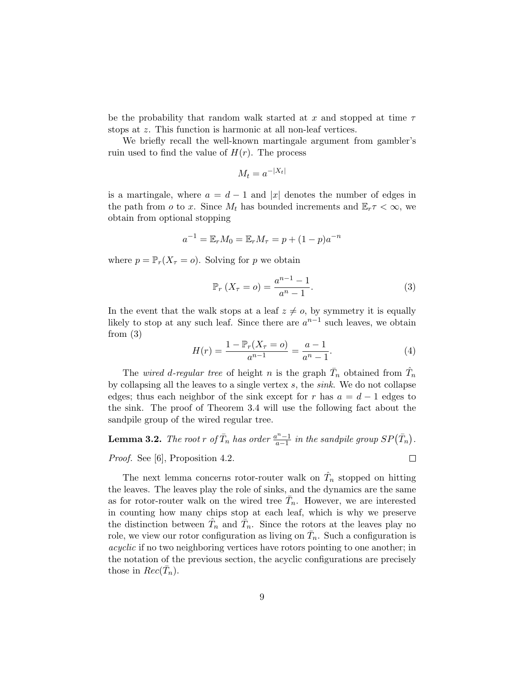be the probability that random walk started at x and stopped at time  $\tau$ stops at z. This function is harmonic at all non-leaf vertices.

We briefly recall the well-known martingale argument from gambler's ruin used to find the value of  $H(r)$ . The process

$$
M_t = a^{-|X_t|}
$$

is a martingale, where  $a = d - 1$  and |x| denotes the number of edges in the path from o to x. Since  $M_t$  has bounded increments and  $\mathbb{E}_r \tau < \infty$ , we obtain from optional stopping

$$
a^{-1} = \mathbb{E}_{r} M_0 = \mathbb{E}_{r} M_{\tau} = p + (1 - p)a^{-n}
$$

where  $p = \mathbb{P}_r(X_\tau = o)$ . Solving for p we obtain

$$
\mathbb{P}_r (X_\tau = o) = \frac{a^{n-1} - 1}{a^n - 1}.
$$
 (3)

In the event that the walk stops at a leaf  $z \neq o$ , by symmetry it is equally likely to stop at any such leaf. Since there are  $a^{n-1}$  such leaves, we obtain from  $(3)$ 

$$
H(r) = \frac{1 - \mathbb{P}_r(X_\tau = o)}{a^{n-1}} = \frac{a - 1}{a^n - 1}.
$$
\n(4)

The *wired d-regular tree* of height n is the graph  $\bar{T}_n$  obtained from  $\hat{T}_n$ by collapsing all the leaves to a single vertex  $s$ , the  $sink$ . We do not collapse edges; thus each neighbor of the sink except for r has  $a = d - 1$  edges to the sink. The proof of Theorem 3.4 will use the following fact about the sandpile group of the wired regular tree.

**Lemma 3.2.** The root r of  $\overline{T}_n$  has order  $\frac{a^n-1}{a-1}$  $\frac{n^n-1}{a-1}$  in the sandpile group  $SP(\bar{T}_n)$ .  $\Box$ Proof. See [6], Proposition 4.2.

The next lemma concerns rotor-router walk on  $\hat{T}_n$  stopped on hitting the leaves. The leaves play the role of sinks, and the dynamics are the same as for rotor-router walk on the wired tree  $\bar{T}_n$ . However, we are interested in counting how many chips stop at each leaf, which is why we preserve the distinction between  $\hat{T}_n$  and  $\bar{T}_n$ . Since the rotors at the leaves play no role, we view our rotor configuration as living on  $\bar{T}_n$ . Such a configuration is acyclic if no two neighboring vertices have rotors pointing to one another; in the notation of the previous section, the acyclic configurations are precisely those in  $Rec(\bar{T}_n)$ .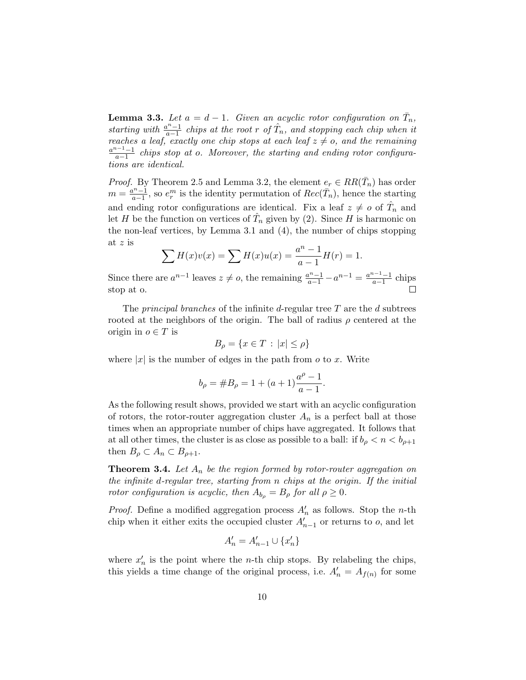**Lemma 3.3.** Let  $a = d - 1$ . Given an acyclic rotor configuration on  $\overline{T}_n$ , starting with  $\frac{a^n-1}{a-1}$  $\frac{a^{n}-1}{a-1}$  chips at the root r of  $\hat{T}_n$ , and stopping each chip when it reaches a leaf, exactly one chip stops at each leaf  $z \neq o$ , and the remaining  $a^{n-1}-1$  $\frac{a-1}{a-1}$  chips stop at o. Moreover, the starting and ending rotor configurations are identical.

*Proof.* By Theorem 2.5 and Lemma 3.2, the element  $e_r \in RR(\bar{T}_n)$  has order  $m = \frac{a^n-1}{a-1}$  $\frac{a^{n}-1}{a-1}$ , so  $e_r^m$  is the identity permutation of  $Rec(\bar{T}_n)$ , hence the starting and ending rotor configurations are identical. Fix a leaf  $z \neq o$  of  $\hat{T}_n$  and let H be the function on vertices of  $\hat{T}_n$  given by (2). Since H is harmonic on the non-leaf vertices, by Lemma 3.1 and (4), the number of chips stopping at z is

$$
\sum H(x)v(x) = \sum H(x)u(x) = \frac{a^n - 1}{a - 1}H(r) = 1.
$$

Since there are  $a^{n-1}$  leaves  $z \neq o$ , the remaining  $\frac{a^{n}-1}{a-1} - a^{n-1} = \frac{a^{n-1}-1}{a-1}$  $\frac{a-1-1}{a-1}$  chips stop at o.

The *principal branches* of the infinite d-regular tree  $T$  are the  $d$  subtrees rooted at the neighbors of the origin. The ball of radius  $\rho$  centered at the origin in  $o \in T$  is

$$
B_{\rho} = \{ x \in T \, : \, |x| \le \rho \}
$$

where  $|x|$  is the number of edges in the path from o to x. Write

$$
b_{\rho} = \#B_{\rho} = 1 + (a+1)\frac{a^{\rho} - 1}{a-1}.
$$

As the following result shows, provided we start with an acyclic configuration of rotors, the rotor-router aggregation cluster  $A_n$  is a perfect ball at those times when an appropriate number of chips have aggregated. It follows that at all other times, the cluster is as close as possible to a ball: if  $b_{\rho} < n < b_{\rho+1}$ then  $B_{\rho} \subset A_n \subset B_{\rho+1}$ .

**Theorem 3.4.** Let  $A_n$  be the region formed by rotor-router aggregation on the infinite d-regular tree, starting from n chips at the origin. If the initial rotor configuration is acyclic, then  $A_{b<sub>o</sub>} = B_{\rho}$  for all  $\rho \geq 0$ .

*Proof.* Define a modified aggregation process  $A'_n$  as follows. Stop the *n*-th chip when it either exits the occupied cluster  $A'_{n-1}$  or returns to  $o$ , and let

$$
A'_n=A'_{n-1}\cup\{x'_n\}
$$

where  $x'_n$  is the point where the *n*-th chip stops. By relabeling the chips, this yields a time change of the original process, i.e.  $A'_n = A_{f(n)}$  for some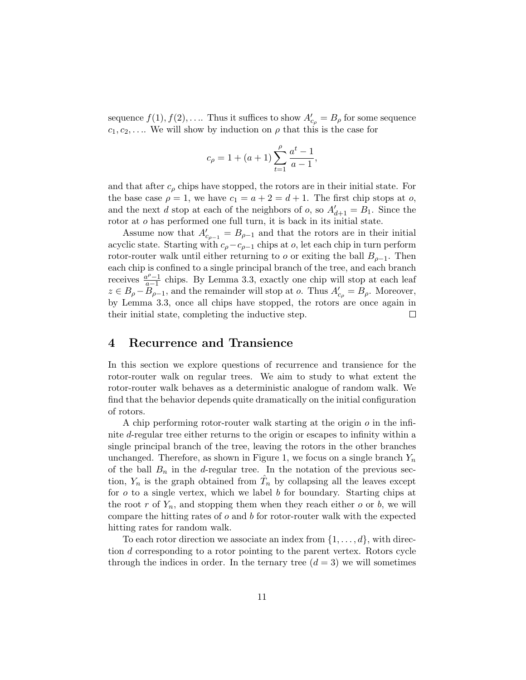sequence  $f(1), f(2), \ldots$  Thus it suffices to show  $A'_{c_{\rho}} = B_{\rho}$  for some sequence  $c_1, c_2, \ldots$  We will show by induction on  $\rho$  that this is the case for

$$
c_{\rho} = 1 + (a+1) \sum_{t=1}^{\rho} \frac{a^t - 1}{a-1},
$$

and that after  $c_{\rho}$  chips have stopped, the rotors are in their initial state. For the base case  $\rho = 1$ , we have  $c_1 = a + 2 = d + 1$ . The first chip stops at o, and the next d stop at each of the neighbors of  $o$ , so  $A'_{d+1} = B_1$ . Since the rotor at o has performed one full turn, it is back in its initial state.

Assume now that  $A'_{c_{\rho-1}} = B_{\rho-1}$  and that the rotors are in their initial acyclic state. Starting with  $c_{\rho}-c_{\rho-1}$  chips at  $o$ , let each chip in turn perform rotor-router walk until either returning to o or exiting the ball  $B_{\rho-1}$ . Then each chip is confined to a single principal branch of the tree, and each branch receives  $\frac{a^{\rho}-1}{a-1}$  $\frac{a^{\nu}-1}{a-1}$  chips. By Lemma 3.3, exactly one chip will stop at each leaf  $z \in B_\rho - \overline{B_{\rho-1}}$ , and the remainder will stop at o. Thus  $A'_{c_\rho} = B_\rho$ . Moreover, by Lemma 3.3, once all chips have stopped, the rotors are once again in their initial state, completing the inductive step.  $\Box$ 

### 4 Recurrence and Transience

In this section we explore questions of recurrence and transience for the rotor-router walk on regular trees. We aim to study to what extent the rotor-router walk behaves as a deterministic analogue of random walk. We find that the behavior depends quite dramatically on the initial configuration of rotors.

A chip performing rotor-router walk starting at the origin  $\rho$  in the infinite d-regular tree either returns to the origin or escapes to infinity within a single principal branch of the tree, leaving the rotors in the other branches unchanged. Therefore, as shown in Figure 1, we focus on a single branch  $Y_n$ of the ball  $B_n$  in the d-regular tree. In the notation of the previous section,  $Y_n$  is the graph obtained from  $\hat{T}_n$  by collapsing all the leaves except for  $o$  to a single vertex, which we label  $b$  for boundary. Starting chips at the root r of  $Y_n$ , and stopping them when they reach either o or b, we will compare the hitting rates of  $o$  and  $b$  for rotor-router walk with the expected hitting rates for random walk.

To each rotor direction we associate an index from  $\{1, \ldots, d\}$ , with direction d corresponding to a rotor pointing to the parent vertex. Rotors cycle through the indices in order. In the ternary tree  $(d = 3)$  we will sometimes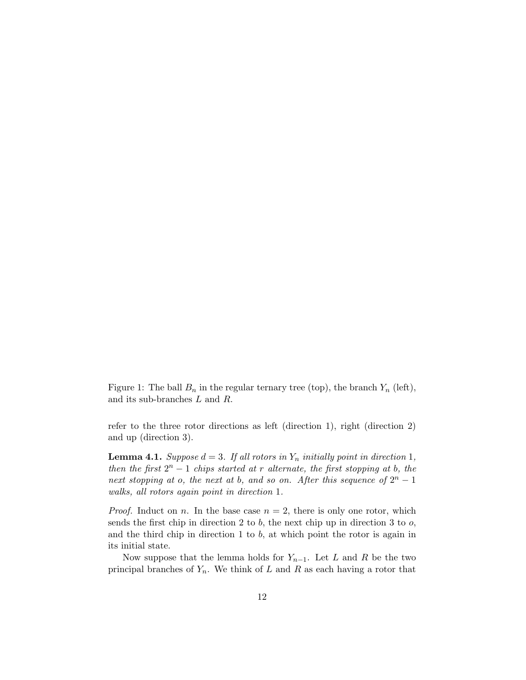Figure 1: The ball  $B_n$  in the regular ternary tree (top), the branch  $Y_n$  (left), and its sub-branches L and R.

refer to the three rotor directions as left (direction 1), right (direction 2) and up (direction 3).

**Lemma 4.1.** Suppose  $d = 3$ . If all rotors in  $Y_n$  initially point in direction 1, then the first  $2^n - 1$  chips started at r alternate, the first stopping at b, the next stopping at o, the next at b, and so on. After this sequence of  $2^n - 1$ walks, all rotors again point in direction 1.

*Proof.* Induct on *n*. In the base case  $n = 2$ , there is only one rotor, which sends the first chip in direction 2 to b, the next chip up in direction 3 to  $o$ , and the third chip in direction 1 to b, at which point the rotor is again in its initial state.

Now suppose that the lemma holds for  $Y_{n-1}$ . Let L and R be the two principal branches of  $Y_n$ . We think of L and R as each having a rotor that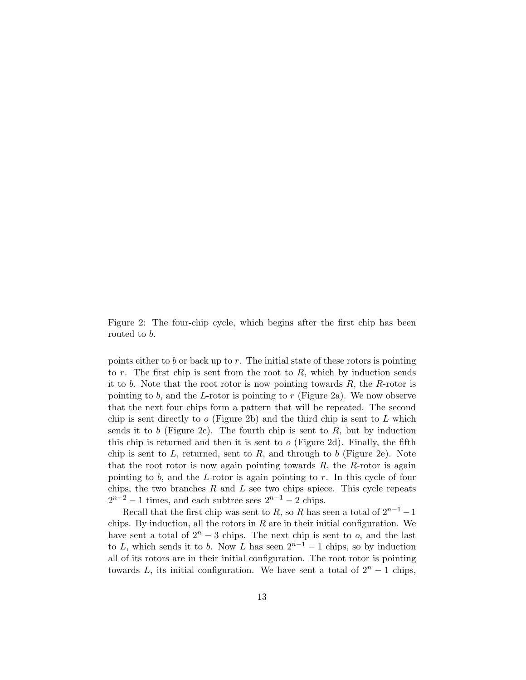Figure 2: The four-chip cycle, which begins after the first chip has been routed to b.

points either to b or back up to r. The initial state of these rotors is pointing to  $r$ . The first chip is sent from the root to  $R$ , which by induction sends it to b. Note that the root rotor is now pointing towards  $R$ , the  $R$ -rotor is pointing to b, and the L-rotor is pointing to r (Figure 2a). We now observe that the next four chips form a pattern that will be repeated. The second chip is sent directly to  $\sigma$  (Figure 2b) and the third chip is sent to L which sends it to b (Figure 2c). The fourth chip is sent to  $R$ , but by induction this chip is returned and then it is sent to  $o$  (Figure 2d). Finally, the fifth chip is sent to L, returned, sent to R, and through to b (Figure 2e). Note that the root rotor is now again pointing towards  $R$ , the  $R$ -rotor is again pointing to  $b$ , and the L-rotor is again pointing to  $r$ . In this cycle of four chips, the two branches  $R$  and  $L$  see two chips apiece. This cycle repeats  $2^{n-2} - 1$  times, and each subtree sees  $2^{n-1} - 2$  chips.

Recall that the first chip was sent to R, so R has seen a total of  $2^{n-1} - 1$ chips. By induction, all the rotors in  $R$  are in their initial configuration. We have sent a total of  $2^n - 3$  chips. The next chip is sent to o, and the last to L, which sends it to b. Now L has seen  $2^{n-1} - 1$  chips, so by induction all of its rotors are in their initial configuration. The root rotor is pointing towards L, its initial configuration. We have sent a total of  $2<sup>n</sup> - 1$  chips,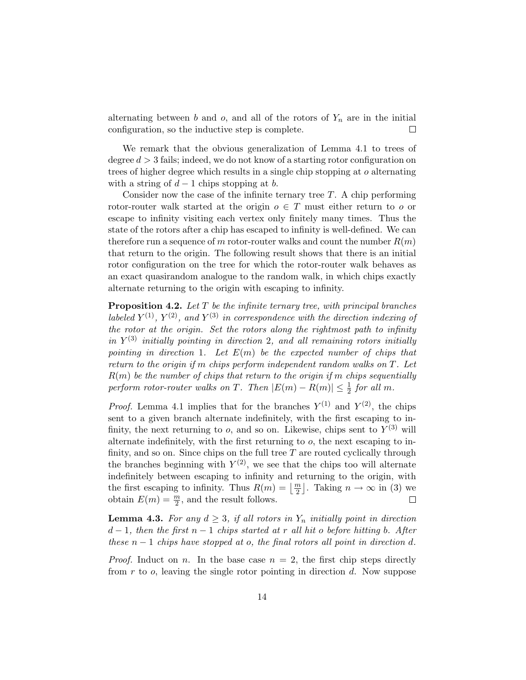alternating between b and o, and all of the rotors of  $Y_n$  are in the initial configuration, so the inductive step is complete.  $\Box$ 

We remark that the obvious generalization of Lemma 4.1 to trees of degree  $d > 3$  fails; indeed, we do not know of a starting rotor configuration on trees of higher degree which results in a single chip stopping at o alternating with a string of  $d-1$  chips stopping at b.

Consider now the case of the infinite ternary tree  $T$ . A chip performing rotor-router walk started at the origin  $o \in T$  must either return to o or escape to infinity visiting each vertex only finitely many times. Thus the state of the rotors after a chip has escaped to infinity is well-defined. We can therefore run a sequence of m rotor-router walks and count the number  $R(m)$ that return to the origin. The following result shows that there is an initial rotor configuration on the tree for which the rotor-router walk behaves as an exact quasirandom analogue to the random walk, in which chips exactly alternate returning to the origin with escaping to infinity.

**Proposition 4.2.** Let  $T$  be the infinite ternary tree, with principal branches labeled  $Y^{(1)}$ ,  $Y^{(2)}$ , and  $Y^{(3)}$  in correspondence with the direction indexing of the rotor at the origin. Set the rotors along the rightmost path to infinity in  $Y^{(3)}$  initially pointing in direction 2, and all remaining rotors initially pointing in direction 1. Let  $E(m)$  be the expected number of chips that return to the origin if m chips perform independent random walks on T. Let  $R(m)$  be the number of chips that return to the origin if m chips sequentially perform rotor-router walks on T. Then  $|E(m) - R(m)| \leq \frac{1}{2}$  for all m.

*Proof.* Lemma 4.1 implies that for the branches  $Y^{(1)}$  and  $Y^{(2)}$ , the chips sent to a given branch alternate indefinitely, with the first escaping to infinity, the next returning to  $o$ , and so on. Likewise, chips sent to  $Y^{(3)}$  will alternate indefinitely, with the first returning to  $o$ , the next escaping to infinity, and so on. Since chips on the full tree  $T$  are routed cyclically through the branches beginning with  $Y^{(2)}$ , we see that the chips too will alternate indefinitely between escaping to infinity and returning to the origin, with the first escaping to infinity. Thus  $R(m) = \left\lfloor \frac{m}{2} \right\rfloor$ . Taking  $n \to \infty$  in (3) we obtain  $E(m) = \frac{m}{2}$ , and the result follows.  $\Box$ 

**Lemma 4.3.** For any  $d \geq 3$ , if all rotors in  $Y_n$  initially point in direction  $d-1$ , then the first  $n-1$  chips started at r all hit o before hitting b. After these  $n-1$  chips have stopped at o, the final rotors all point in direction d.

*Proof.* Induct on n. In the base case  $n = 2$ , the first chip steps directly from  $r$  to  $o$ , leaving the single rotor pointing in direction  $d$ . Now suppose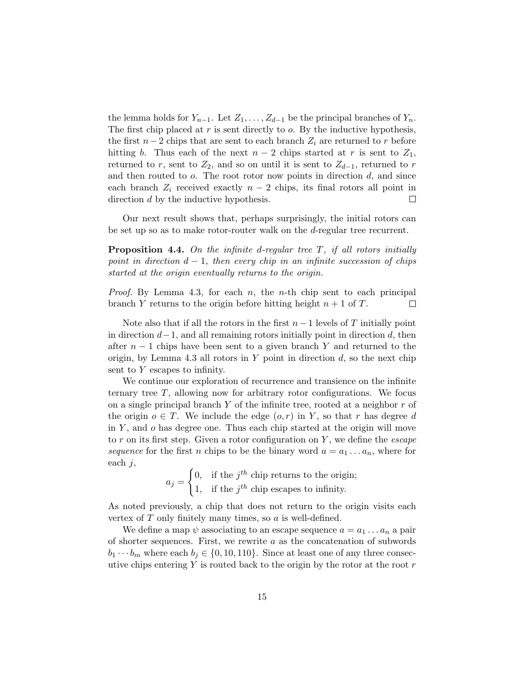the lemma holds for  $Y_{n-1}$ . Let  $Z_1, \ldots, Z_{d-1}$  be the principal branches of  $Y_n$ . The first chip placed at  $r$  is sent directly to  $o$ . By the inductive hypothesis, the first  $n-2$  chips that are sent to each branch  $Z_i$  are returned to r before hitting b. Thus each of the next  $n-2$  chips started at r is sent to  $Z_1$ , returned to r, sent to  $Z_2$ , and so on until it is sent to  $Z_{d-1}$ , returned to r and then routed to  $o$ . The root rotor now points in direction  $d$ , and since each branch  $Z_i$  received exactly  $n-2$  chips, its final rotors all point in direction d by the inductive hypothesis.  $\Box$ 

Our next result shows that, perhaps surprisingly, the initial rotors can be set up so as to make rotor-router walk on the d-regular tree recurrent.

**Proposition 4.4.** On the infinite d-regular tree  $T$ , if all rotors initially point in direction  $d-1$ , then every chip in an infinite succession of chips started at the origin eventually returns to the origin.

*Proof.* By Lemma 4.3, for each n, the n-th chip sent to each principal branch Y returns to the origin before hitting height  $n + 1$  of T.  $\Box$ 

Note also that if all the rotors in the first  $n-1$  levels of T initially point in direction  $d-1$ , and all remaining rotors initially point in direction d, then after  $n-1$  chips have been sent to a given branch Y and returned to the origin, by Lemma 4.3 all rotors in  $Y$  point in direction  $d$ , so the next chip sent to Y escapes to infinity.

We continue our exploration of recurrence and transience on the infinite ternary tree T, allowing now for arbitrary rotor configurations. We focus on a single principal branch Y of the infinite tree, rooted at a neighbor  $r$  of the origin  $o \in T$ . We include the edge  $(o, r)$  in Y, so that r has degree d in  $Y$ , and  $\sigma$  has degree one. Thus each chip started at the origin will move to r on its first step. Given a rotor configuration on Y , we define the escape sequence for the first n chips to be the binary word  $a = a_1 \ldots a_n$ , where for each  $j$ ,

$$
a_j = \begin{cases} 0, & \text{if the } j^{th} \text{ chip returns to the origin;} \\ 1, & \text{if the } j^{th} \text{ chip escapes to infinity.} \end{cases}
$$

As noted previously, a chip that does not return to the origin visits each vertex of  $T$  only finitely many times, so  $\alpha$  is well-defined.

We define a map  $\psi$  associating to an escape sequence  $a = a_1 \dots a_n$  a pair of shorter sequences. First, we rewrite  $a$  as the concatenation of subwords  $b_1 \cdots b_m$  where each  $b_j \in \{0, 10, 110\}$ . Since at least one of any three consecutive chips entering  $Y$  is routed back to the origin by the rotor at the root  $r$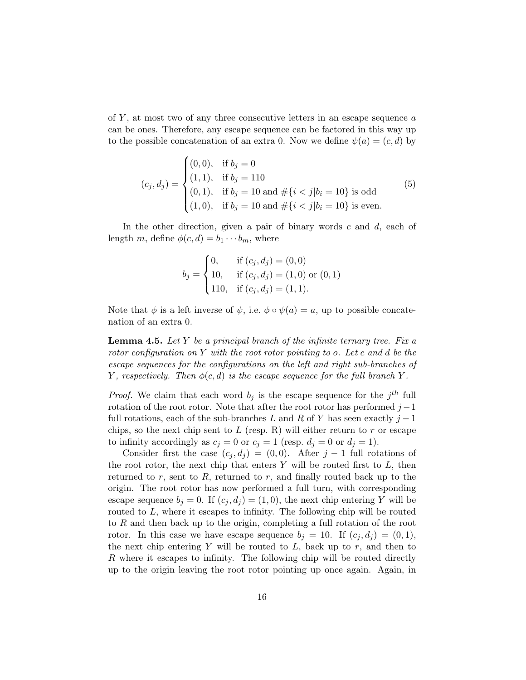of  $Y$ , at most two of any three consecutive letters in an escape sequence  $a$ can be ones. Therefore, any escape sequence can be factored in this way up to the possible concatenation of an extra 0. Now we define  $\psi(a) = (c, d)$  by

$$
(c_j, d_j) = \begin{cases} (0, 0), & \text{if } b_j = 0\\ (1, 1), & \text{if } b_j = 110\\ (0, 1), & \text{if } b_j = 10 \text{ and } \# \{i < j | b_i = 10\} \text{ is odd} \\ (1, 0), & \text{if } b_j = 10 \text{ and } \# \{i < j | b_i = 10\} \text{ is even.} \end{cases} \tag{5}
$$

In the other direction, given a pair of binary words  $c$  and  $d$ , each of length m, define  $\phi(c, d) = b_1 \cdots b_m$ , where

$$
b_j = \begin{cases} 0, & \text{if } (c_j, d_j) = (0, 0) \\ 10, & \text{if } (c_j, d_j) = (1, 0) \text{ or } (0, 1) \\ 110, & \text{if } (c_j, d_j) = (1, 1). \end{cases}
$$

Note that  $\phi$  is a left inverse of  $\psi$ , i.e.  $\phi \circ \psi(a) = a$ , up to possible concatenation of an extra 0.

**Lemma 4.5.** Let Y be a principal branch of the infinite ternary tree. Fix a rotor configuration on Y with the root rotor pointing to o. Let c and d be the escape sequences for the configurations on the left and right sub-branches of Y, respectively. Then  $\phi(c, d)$  is the escape sequence for the full branch Y.

*Proof.* We claim that each word  $b_j$  is the escape sequence for the  $j<sup>th</sup>$  full rotation of the root rotor. Note that after the root rotor has performed  $j-1$ full rotations, each of the sub-branches L and R of Y has seen exactly  $j-1$ chips, so the next chip sent to  $L$  (resp. R) will either return to  $r$  or escape to infinity accordingly as  $c_j = 0$  or  $c_j = 1$  (resp.  $d_j = 0$  or  $d_j = 1$ ).

Consider first the case  $(c_i, d_i) = (0, 0)$ . After j – 1 full rotations of the root rotor, the next chip that enters  $Y$  will be routed first to  $L$ , then returned to  $r$ , sent to  $R$ , returned to  $r$ , and finally routed back up to the origin. The root rotor has now performed a full turn, with corresponding escape sequence  $b_i = 0$ . If  $(c_i, d_i) = (1, 0)$ , the next chip entering Y will be routed to  $L$ , where it escapes to infinity. The following chip will be routed to R and then back up to the origin, completing a full rotation of the root rotor. In this case we have escape sequence  $b_i = 10$ . If  $(c_i, d_i) = (0, 1)$ , the next chip entering Y will be routed to  $L$ , back up to  $r$ , and then to R where it escapes to infinity. The following chip will be routed directly up to the origin leaving the root rotor pointing up once again. Again, in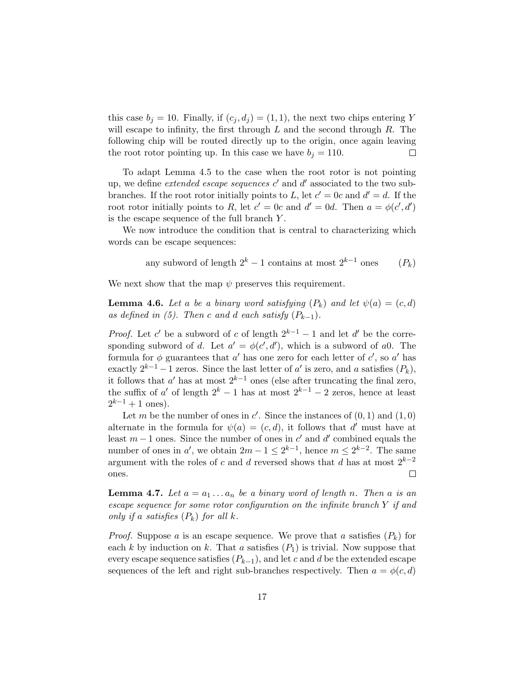this case  $b_j = 10$ . Finally, if  $(c_j, d_j) = (1, 1)$ , the next two chips entering Y will escape to infinity, the first through  $L$  and the second through  $R$ . The following chip will be routed directly up to the origin, once again leaving the root rotor pointing up. In this case we have  $b_j = 110$ .  $\Box$ 

To adapt Lemma 4.5 to the case when the root rotor is not pointing up, we define *extended escape sequences*  $c'$  and  $d'$  associated to the two subbranches. If the root rotor initially points to L, let  $c' = 0c$  and  $d' = d$ . If the root rotor initially points to R, let  $c' = 0c$  and  $d' = 0d$ . Then  $a = \phi(c', d')$ is the escape sequence of the full branch  $Y$ .

We now introduce the condition that is central to characterizing which words can be escape sequences:

> any subword of length  $2^k - 1$  contains at most  $2^{k-1}$  ones  $(P_k)$

We next show that the map  $\psi$  preserves this requirement.

**Lemma 4.6.** Let a be a binary word satisfying  $(P_k)$  and let  $\psi(a) = (c, d)$ as defined in (5). Then c and d each satisfy  $(P_{k-1})$ .

*Proof.* Let c' be a subword of c of length  $2^{k-1} - 1$  and let d' be the corresponding subword of d. Let  $a' = \phi(c', d')$ , which is a subword of a0. The formula for  $\phi$  guarantees that  $a'$  has one zero for each letter of  $c'$ , so  $a'$  has exactly  $2^{k-1} - 1$  zeros. Since the last letter of  $a'$  is zero, and a satisfies  $(P_k)$ , it follows that  $a'$  has at most  $2^{k-1}$  ones (else after truncating the final zero, the suffix of a' of length  $2^k - 1$  has at most  $2^{k-1} - 2$  zeros, hence at least  $2^{k-1} + 1$  ones).

Let m be the number of ones in  $c'$ . Since the instances of  $(0, 1)$  and  $(1, 0)$ alternate in the formula for  $\psi(a) = (c, d)$ , it follows that d' must have at least  $m-1$  ones. Since the number of ones in  $c'$  and  $d'$  combined equals the number of ones in a', we obtain  $2m - 1 \leq 2^{k-1}$ , hence  $m \leq 2^{k-2}$ . The same argument with the roles of c and d reversed shows that d has at most  $2^{k-2}$  $\Box$ ones.

**Lemma 4.7.** Let  $a = a_1 \ldots a_n$  be a binary word of length n. Then a is an escape sequence for some rotor configuration on the infinite branch Y if and only if a satisfies  $(P_k)$  for all k.

*Proof.* Suppose a is an escape sequence. We prove that a satisfies  $(P_k)$  for each k by induction on k. That a satisfies  $(P_1)$  is trivial. Now suppose that every escape sequence satisfies  $(P_{k-1})$ , and let c and d be the extended escape sequences of the left and right sub-branches respectively. Then  $a = \phi(c, d)$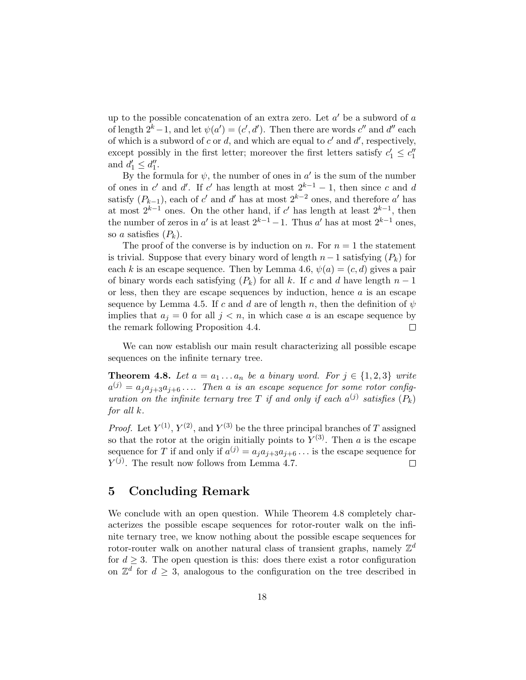up to the possible concatenation of an extra zero. Let  $a'$  be a subword of  $a$ of length  $2^k - 1$ , and let  $\psi(a') = (c', d')$ . Then there are words  $c''$  and  $d''$  each of which is a subword of c or d, and which are equal to  $c'$  and  $d'$ , respectively, except possibly in the first letter; moreover the first letters satisfy  $c'_1 \leq c''_1$ and  $d'_1 \leq d''_1$ .

By the formula for  $\psi$ , the number of ones in a' is the sum of the number of ones in c' and d'. If c' has length at most  $2^{k-1} - 1$ , then since c and d satisfy  $(P_{k-1})$ , each of c' and d' has at most  $2^{k-2}$  ones, and therefore a' has at most  $2^{k-1}$  ones. On the other hand, if c' has length at least  $2^{k-1}$ , then the number of zeros in a' is at least  $2^{k-1} - 1$ . Thus a' has at most  $2^{k-1}$  ones, so a satisfies  $(P_k)$ .

The proof of the converse is by induction on n. For  $n = 1$  the statement is trivial. Suppose that every binary word of length  $n-1$  satisfying  $(P_k)$  for each k is an escape sequence. Then by Lemma 4.6,  $\psi(a) = (c, d)$  gives a pair of binary words each satisfying  $(P_k)$  for all k. If c and d have length  $n-1$ or less, then they are escape sequences by induction, hence  $a$  is an escape sequence by Lemma 4.5. If c and d are of length n, then the definition of  $\psi$ implies that  $a_j = 0$  for all  $j < n$ , in which case a is an escape sequence by the remark following Proposition 4.4.  $\Box$ 

We can now establish our main result characterizing all possible escape sequences on the infinite ternary tree.

**Theorem 4.8.** Let  $a = a_1 \ldots a_n$  be a binary word. For  $j \in \{1,2,3\}$  write  $a^{(j)} = a_j a_{j+3} a_{j+6} \ldots$  Then a is an escape sequence for some rotor configuration on the infinite ternary tree T if and only if each  $a^{(j)}$  satisfies  $(P_k)$ for all k.

*Proof.* Let  $Y^{(1)}$ ,  $Y^{(2)}$ , and  $Y^{(3)}$  be the three principal branches of T assigned so that the rotor at the origin initially points to  $Y^{(3)}$ . Then a is the escape sequence for T if and only if  $a^{(j)} = a_j a_{j+3} a_{j+6} \dots$  is the escape sequence for  $Y^{(j)}$ . The result now follows from Lemma 4.7. П

## 5 Concluding Remark

We conclude with an open question. While Theorem 4.8 completely characterizes the possible escape sequences for rotor-router walk on the infinite ternary tree, we know nothing about the possible escape sequences for rotor-router walk on another natural class of transient graphs, namely  $\mathbb{Z}^d$ for  $d \geq 3$ . The open question is this: does there exist a rotor configuration on  $\mathbb{Z}^d$  for  $d \geq 3$ , analogous to the configuration on the tree described in